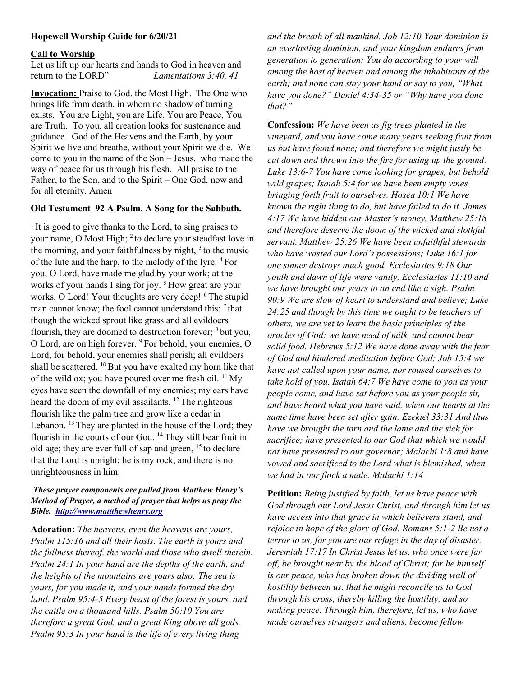#### Hopewell Worship Guide for 6/20/21

#### Call to Worship

Let us lift up our hearts and hands to God in heaven and return to the LORD" Lamentations 3:40, 41

Invocation: Praise to God, the Most High. The One who brings life from death, in whom no shadow of turning exists. You are Light, you are Life, You are Peace, You are Truth. To you, all creation looks for sustenance and guidance. God of the Heavens and the Earth, by your Spirit we live and breathe, without your Spirit we die. We come to you in the name of the Son – Jesus, who made the way of peace for us through his flesh. All praise to the Father, to the Son, and to the Spirit – One God, now and for all eternity. Amen

# Old Testament 92 A Psalm. A Song for the Sabbath.

<sup>1</sup> It is good to give thanks to the Lord, to sing praises to your name, O Most High; <sup>2</sup> to declare your steadfast love in the morning, and your faithfulness by night,  $3$  to the music of the lute and the harp, to the melody of the lyre. <sup>4</sup>For you, O Lord, have made me glad by your work; at the works of your hands I sing for joy.<sup>5</sup> How great are your works, O Lord! Your thoughts are very deep! <sup>6</sup>The stupid man cannot know; the fool cannot understand this:  $7$  that though the wicked sprout like grass and all evildoers flourish, they are doomed to destruction forever;  $8$  but you, O Lord, are on high forever. <sup>9</sup>For behold, your enemies, O Lord, for behold, your enemies shall perish; all evildoers shall be scattered.  $^{10}$  But you have exalted my horn like that of the wild ox; you have poured over me fresh oil.  $^{11}$  My eyes have seen the downfall of my enemies; my ears have heard the doom of my evil assailants. <sup>12</sup> The righteous flourish like the palm tree and grow like a cedar in Lebanon. <sup>13</sup> They are planted in the house of the Lord; they flourish in the courts of our God.  $^{14}$  They still bear fruit in old age; they are ever full of sap and green,  $15$  to declare that the Lord is upright; he is my rock, and there is no unrighteousness in him.

## These prayer components are pulled from Matthew Henry's Method of Prayer, a method of prayer that helps us pray the Bible. http://www.mattthewhenry.org

Adoration: The heavens, even the heavens are yours, Psalm 115:16 and all their hosts. The earth is yours and the fullness thereof, the world and those who dwell therein. Psalm 24:1 In your hand are the depths of the earth, and the heights of the mountains are yours also: The sea is yours, for you made it, and your hands formed the dry land. Psalm 95:4-5 Every beast of the forest is yours, and the cattle on a thousand hills. Psalm 50:10 You are therefore a great God, and a great King above all gods. Psalm 95:3 In your hand is the life of every living thing

and the breath of all mankind. Job 12:10 Your dominion is an everlasting dominion, and your kingdom endures from generation to generation: You do according to your will among the host of heaven and among the inhabitants of the earth; and none can stay your hand or say to you, "What have you done?" Daniel 4:34-35 or "Why have you done that?"

Confession: We have been as fig trees planted in the vineyard, and you have come many years seeking fruit from us but have found none; and therefore we might justly be cut down and thrown into the fire for using up the ground: Luke 13:6-7 You have come looking for grapes, but behold wild grapes; Isaiah 5:4 for we have been empty vines bringing forth fruit to ourselves. Hosea 10:1 We have known the right thing to do, but have failed to do it. James 4:17 We have hidden our Master's money, Matthew 25:18 and therefore deserve the doom of the wicked and slothful servant. Matthew 25:26 We have been unfaithful stewards who have wasted our Lord's possessions; Luke 16:1 for one sinner destroys much good. Ecclesiastes 9:18 Our youth and dawn of life were vanity, Ecclesiastes 11:10 and we have brought our years to an end like a sigh. Psalm 90:9 We are slow of heart to understand and believe; Luke 24:25 and though by this time we ought to be teachers of others, we are yet to learn the basic principles of the oracles of God: we have need of milk, and cannot bear solid food. Hebrews 5:12 We have done away with the fear of God and hindered meditation before God; Job 15:4 we have not called upon your name, nor roused ourselves to take hold of you. Isaiah 64:7 We have come to you as your people come, and have sat before you as your people sit, and have heard what you have said, when our hearts at the same time have been set after gain. Ezekiel 33:31 And thus have we brought the torn and the lame and the sick for sacrifice; have presented to our God that which we would not have presented to our governor; Malachi 1:8 and have vowed and sacrificed to the Lord what is blemished, when we had in our flock a male. Malachi 1:14

Petition: Being justified by faith, let us have peace with God through our Lord Jesus Christ, and through him let us have access into that grace in which believers stand, and rejoice in hope of the glory of God. Romans 5:1-2 Be not a terror to us, for you are our refuge in the day of disaster. Jeremiah 17:17 In Christ Jesus let us, who once were far off, be brought near by the blood of Christ; for he himself is our peace, who has broken down the dividing wall of hostility between us, that he might reconcile us to God through his cross, thereby killing the hostility, and so making peace. Through him, therefore, let us, who have made ourselves strangers and aliens, become fellow